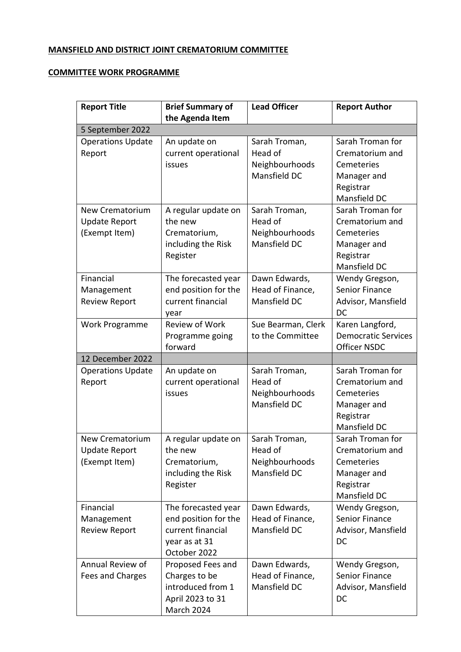## **MANSFIELD AND DISTRICT JOINT CREMATORIUM COMMITTEE**

## **COMMITTEE WORK PROGRAMME**

| <b>Report Title</b>      | <b>Brief Summary of</b>        | <b>Lead Officer</b>            | <b>Report Author</b>       |
|--------------------------|--------------------------------|--------------------------------|----------------------------|
|                          | the Agenda Item                |                                |                            |
| 5 September 2022         |                                |                                |                            |
| <b>Operations Update</b> | An update on                   | Sarah Troman,                  | Sarah Troman for           |
| Report                   | current operational            | Head of                        | Crematorium and            |
|                          | issues                         | Neighbourhoods                 | Cemeteries                 |
|                          |                                | Mansfield DC                   | Manager and                |
|                          |                                |                                | Registrar                  |
|                          |                                |                                | Mansfield DC               |
| <b>New Crematorium</b>   | A regular update on            | Sarah Troman,                  | Sarah Troman for           |
| <b>Update Report</b>     | the new                        | Head of                        | Crematorium and            |
| (Exempt Item)            | Crematorium,                   | Neighbourhoods<br>Mansfield DC | Cemeteries                 |
|                          | including the Risk<br>Register |                                | Manager and<br>Registrar   |
|                          |                                |                                | Mansfield DC               |
| Financial                | The forecasted year            | Dawn Edwards,                  | Wendy Gregson,             |
| Management               | end position for the           | Head of Finance,               | <b>Senior Finance</b>      |
| <b>Review Report</b>     | current financial              | Mansfield DC                   | Advisor, Mansfield         |
|                          | year                           |                                | DC                         |
| Work Programme           | Review of Work                 | Sue Bearman, Clerk             | Karen Langford,            |
|                          | Programme going                | to the Committee               | <b>Democratic Services</b> |
|                          | forward                        |                                | <b>Officer NSDC</b>        |
| 12 December 2022         |                                |                                |                            |
| <b>Operations Update</b> | An update on                   | Sarah Troman,                  | Sarah Troman for           |
| Report                   | current operational            | Head of                        | Crematorium and            |
|                          | issues                         | Neighbourhoods                 | Cemeteries                 |
|                          |                                | Mansfield DC                   | Manager and                |
|                          |                                |                                | Registrar                  |
|                          |                                |                                | Mansfield DC               |
| New Crematorium          | A regular update on            | Sarah Troman,                  | Sarah Troman for           |
| <b>Update Report</b>     | the new                        | Head of                        | Crematorium and            |
| (Exempt Item)            | Crematorium,                   | Neighbourhoods                 | Cemeteries                 |
|                          | including the Risk             | Mansfield DC                   | Manager and                |
|                          | Register                       |                                | Registrar                  |
|                          |                                |                                | Mansfield DC               |
| Financial                | The forecasted year            | Dawn Edwards,                  | Wendy Gregson,             |
| Management               | end position for the           | Head of Finance,               | Senior Finance             |
| <b>Review Report</b>     | current financial              | Mansfield DC                   | Advisor, Mansfield         |
|                          | year as at 31<br>October 2022  |                                | <b>DC</b>                  |
| Annual Review of         | Proposed Fees and              | Dawn Edwards,                  | Wendy Gregson,             |
| Fees and Charges         | Charges to be                  | Head of Finance,               | <b>Senior Finance</b>      |
|                          | introduced from 1              | Mansfield DC                   | Advisor, Mansfield         |
|                          | April 2023 to 31               |                                | DC                         |
|                          | March 2024                     |                                |                            |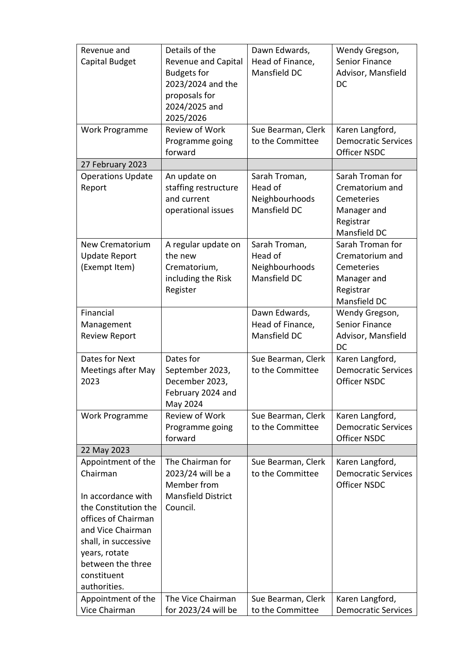| Revenue and               | Details of the             | Dawn Edwards,      | Wendy Gregson,             |
|---------------------------|----------------------------|--------------------|----------------------------|
| Capital Budget            | <b>Revenue and Capital</b> | Head of Finance,   | Senior Finance             |
|                           | <b>Budgets for</b>         | Mansfield DC       | Advisor, Mansfield         |
|                           | 2023/2024 and the          |                    | DC                         |
|                           | proposals for              |                    |                            |
|                           | 2024/2025 and              |                    |                            |
|                           | 2025/2026                  |                    |                            |
| Work Programme            | Review of Work             | Sue Bearman, Clerk | Karen Langford,            |
|                           | Programme going            | to the Committee   | <b>Democratic Services</b> |
|                           | forward                    |                    | Officer NSDC               |
| 27 February 2023          |                            |                    |                            |
| <b>Operations Update</b>  | An update on               | Sarah Troman,      | Sarah Troman for           |
| Report                    | staffing restructure       | Head of            | Crematorium and            |
|                           | and current                | Neighbourhoods     | Cemeteries                 |
|                           | operational issues         | Mansfield DC       | Manager and                |
|                           |                            |                    | Registrar                  |
|                           |                            |                    | Mansfield DC               |
| <b>New Crematorium</b>    | A regular update on        | Sarah Troman,      | Sarah Troman for           |
| <b>Update Report</b>      | the new                    | Head of            | Crematorium and            |
| (Exempt Item)             | Crematorium,               | Neighbourhoods     | Cemeteries                 |
|                           | including the Risk         | Mansfield DC       | Manager and                |
|                           | Register                   |                    | Registrar                  |
|                           |                            |                    | Mansfield DC               |
| Financial                 |                            | Dawn Edwards,      | Wendy Gregson,             |
| Management                |                            | Head of Finance,   | Senior Finance             |
| <b>Review Report</b>      |                            | Mansfield DC       | Advisor, Mansfield         |
|                           |                            |                    | DC                         |
| Dates for Next            | Dates for                  | Sue Bearman, Clerk | Karen Langford,            |
| <b>Meetings after May</b> | September 2023,            | to the Committee   | <b>Democratic Services</b> |
| 2023                      | December 2023,             |                    | <b>Officer NSDC</b>        |
|                           | February 2024 and          |                    |                            |
|                           | May 2024                   |                    |                            |
| Work Programme            | <b>Review of Work</b>      | Sue Bearman, Clerk | Karen Langford,            |
|                           | Programme going            | to the Committee   | <b>Democratic Services</b> |
|                           | forward                    |                    | <b>Officer NSDC</b>        |
| 22 May 2023               |                            |                    |                            |
| Appointment of the        | The Chairman for           | Sue Bearman, Clerk | Karen Langford,            |
| Chairman                  | 2023/24 will be a          | to the Committee   | <b>Democratic Services</b> |
|                           | Member from                |                    | <b>Officer NSDC</b>        |
| In accordance with        | <b>Mansfield District</b>  |                    |                            |
| the Constitution the      | Council.                   |                    |                            |
| offices of Chairman       |                            |                    |                            |
| and Vice Chairman         |                            |                    |                            |
| shall, in successive      |                            |                    |                            |
| years, rotate             |                            |                    |                            |
| between the three         |                            |                    |                            |
| constituent               |                            |                    |                            |
| authorities.              |                            |                    |                            |
| Appointment of the        | The Vice Chairman          | Sue Bearman, Clerk | Karen Langford,            |
| Vice Chairman             | for 2023/24 will be        | to the Committee   | <b>Democratic Services</b> |